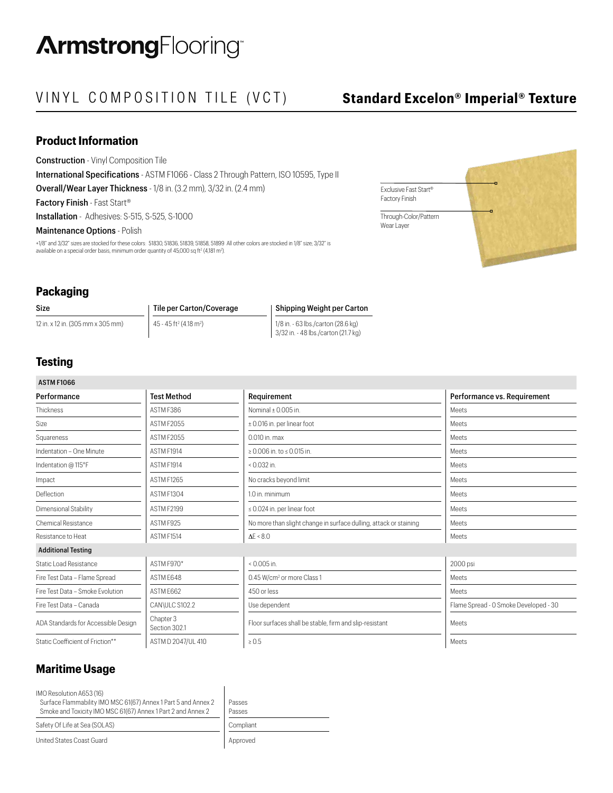# VINYL COMPOSITION TILE (VCT) **Standard Excelon® Imperial® Texture**

Exclusive Fast Start® Factory Finish

Through-Color/Pattern Wear Layer

## **Product Information**

Construction - Vinyl Composition Tile

International Specifications - ASTM F1066 - Class 2 Through Pattern, ISO 10595, Type II Overall/Wear Layer Thickness - 1/8 in. (3.2 mm), 3/32 in. (2.4 mm)

Factory Finish - Fast Start®

Installation - Adhesives: S-515, S-525, S-1000

## Maintenance Options - Polish

+1/8" and 3/32" sizes are stocked for these colors: 51830, 51836, 51839, 51858, 51899 All other colors are stocked in 1/8" size; 3/32" is available on a special order basis, minimum order quantity of 45,000 sq ft² (4,181 m²).

## **Packaging**

| <b>Size</b>                       | Tile per Carton/Coverage                         | Shipping Weight per Carton          |
|-----------------------------------|--------------------------------------------------|-------------------------------------|
| 12 in. x 12 in. (305 mm x 305 mm) | $45 - 45$ ft <sup>2</sup> (4.18 m <sup>2</sup> ) | 1/8 in. - 63 lbs./carton (28.6 kg)  |
|                                   |                                                  | 3/32 in. - 48 lbs./carton (21.7 kg) |

## **Testing**

| <b>ASTM F1066</b>                   |                                   |                                                                   |                                       |  |
|-------------------------------------|-----------------------------------|-------------------------------------------------------------------|---------------------------------------|--|
| Performance                         | <b>Test Method</b><br>Requirement |                                                                   | Performance vs. Requirement           |  |
| Thickness                           | ASTM F386                         | Nominal $\pm$ 0.005 in.                                           | <b>Meets</b>                          |  |
| Size                                | ASTM F2055                        | ± 0.016 in. per linear foot                                       | Meets                                 |  |
| Squareness                          | ASTM F2055                        | 0.010 in. max                                                     | Meets                                 |  |
| Indentation - One Minute            | ASTM F1914                        | ≥ 0.006 in. to ≤ 0.015 in.                                        | Meets                                 |  |
| Indentation @ 115°F                 | ASTM F1914                        | $0.032$ in.                                                       | Meets                                 |  |
| Impact                              | ASTM F1265                        | No cracks beyond limit                                            | Meets                                 |  |
| Deflection                          | ASTM F1304                        | 1.0 in. minimum                                                   | Meets                                 |  |
| Dimensional Stability               | ASTM F2199                        | $\leq$ 0.024 in. per linear foot                                  | Meets                                 |  |
| <b>Chemical Resistance</b>          | ASTM F925                         | No more than slight change in surface dulling, attack or staining | Meets                                 |  |
| Resistance to Heat                  | ASTM F1514                        | $\Delta E \le 8.0$                                                | Meets                                 |  |
| <b>Additional Testing</b>           |                                   |                                                                   |                                       |  |
| <b>Static Load Resistance</b>       | ASTM F970*                        | $0.005$ in.                                                       | 2000 psi                              |  |
| Fire Test Data - Flame Spread       | ASTM E648                         | 0.45 W/cm <sup>2</sup> or more Class 1                            | Meets                                 |  |
| Fire Test Data - Smoke Evolution    | ASTM E662                         | 450 or less                                                       | Meets                                 |  |
| Fire Test Data - Canada             | CAN\ULC S102.2                    | Use dependent                                                     | Flame Spread - 0 Smoke Developed - 30 |  |
| ADA Standards for Accessible Design | Chapter 3<br>Section 302.1        | Floor surfaces shall be stable, firm and slip-resistant           | Meets                                 |  |
| Static Coefficient of Friction**    | ASTM D 2047/UL 410                | $\geq 0.5$                                                        | Meets                                 |  |

## **Maritime Usage**

IMO Resolution A653 (16)

 Surface Flammability IMO MSC 61(67) Annex 1 Part 5 and Annex 2 Smoke and Toxicity IMO MSC 61(67) Annex 1 Part 2 and Annex 2

Passes Passes Safety Of Life at Sea (SOLAS) Compliant

United States Coast Guard **Approved** Approved